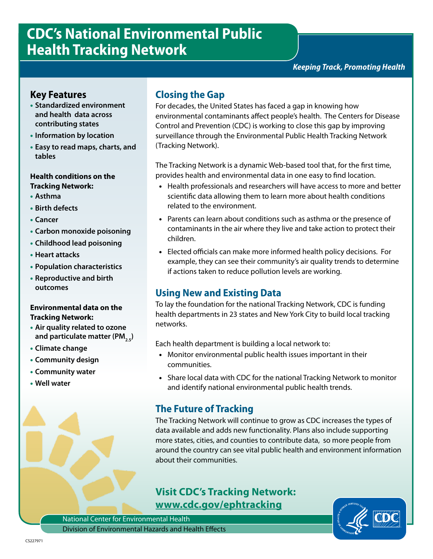# **CDC's National Environmental Public Health Tracking Network**

## **Key Features**

- **Standardized environment and health data across contributing states**
- **Information by location**
- **Easy to read maps, charts, and tables**

## **Health conditions on the Tracking Network:**

- **Asthma**
- **Birth defects**
- **Cancer**
- **Carbon monoxide poisoning**
- **Childhood lead poisoning**
- **Heart attacks**
- **Population characteristics**
- **Reproductive and birth outcomes**

#### **Environmental data on the Tracking Network:**

- **Air quality related to ozone**  and particulate matter (PM<sub>25</sub>)
- **Climate change**
- **Community design**
- **Community water**
- **Well water**

## **Closing the Gap**

For decades, the United States has faced a gap in knowing how environmental contaminants affect people's health. The Centers for Disease Control and Prevention (CDC) is working to close this gap by improving surveillance through the Environmental Public Health Tracking Network (Tracking Network).

The Tracking Network is a dynamic Web-based tool that, for the first time, provides health and environmental data in one easy to find location.

- Health professionals and researchers will have access to more and better scientific data allowing them to learn more about health conditions related to the environment.
- Parents can learn about conditions such as asthma or the presence of contaminants in the air where they live and take action to protect their children.
- Elected officials can make more informed health policy decisions. For example, they can see their community's air quality trends to determine if actions taken to reduce pollution levels are working.

# **Using New and Existing Data**

To lay the foundation for the national Tracking Network, CDC is funding health departments in 23 states and New York City to build local tracking networks.

Each health department is building a local network to:

- Monitor environmental public health issues important in their communities.
- Share local data with CDC for the national Tracking Network to monitor and identify national environmental public health trends.

# **The Future of Tracking**

The Tracking Network will continue to grow as CDC increases the types of data available and adds new functionality. Plans also include supporting more states, cities, and counties to contribute data, so more people from around the country can see vital public health and environment information about their communities.

# **Visit CDC's Tracking Network: www.cdc.gov/ephtracking**

National Center for Environmental Health Division of Environmental Hazards and Health Effects